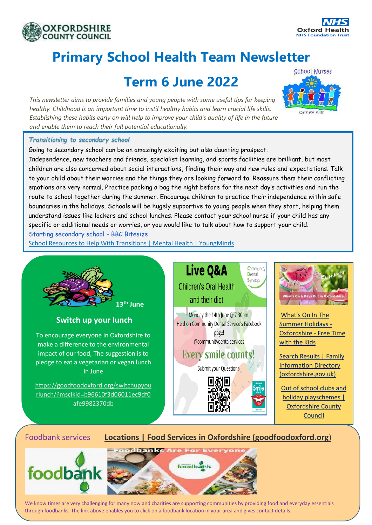



# **Primary School Health Team Newsletter**

## **Term 6 June 2022**

*This newsletter aims to provide families and young people with some useful tips for keeping healthy. Childhood is an important time to instil healthy habits and learn crucial life skills. Establishing these habits early on will help to improve your child's quality of life in the future and enable them to reach their full potential educationally.*



#### *Transitioning to secondary school*

Going to secondary school can be an amazingly exciting but also daunting prospect. Independence, new teachers and friends, specialist learning, and sports facilities are brilliant, but most children are also concerned about social interactions, finding their way and new rules and expectations. Talk to your child about their worries and the things they are looking forward to. Reassure them their conflicting emotions are very normal. Practice packing a bag the night before for the next day's activities and run the route to school together during the summer. Encourage children to practice their independence within safe boundaries in the holidays. Schools will be hugely supportive to young people when they start, helping them understand issues like lockers and school lunches. Please contact your school nurse if your child has any specific or additional needs or worries, or you would like to talk about how to support your child.

[Starting secondary school -](https://www.bbc.co.uk/bitesize/tags/zh4wy9q/starting-secondary-school/1) BBC Bitesize

[School Resources to Help With Transitions | Mental Health | YoungMinds](https://www.youngminds.org.uk/professional/resources/supporting-school-transitions/?gclid=EAIaIQobChMI45DY_NqY-AIVw-d3Ch3_tQoGEAAYAiAAEgLOcPD_BwE)



### Foodbank services **[Locations | Food Services in Oxfordshire \(goodfoodoxford.org](https://foodmap.goodfoodoxford.org/)**)





We know times are very challenging for many now and charities are supporting communities by providing food and everyday essentials through foodbanks. The link above enables you to click on a foodbank location in your area and gives contact details.